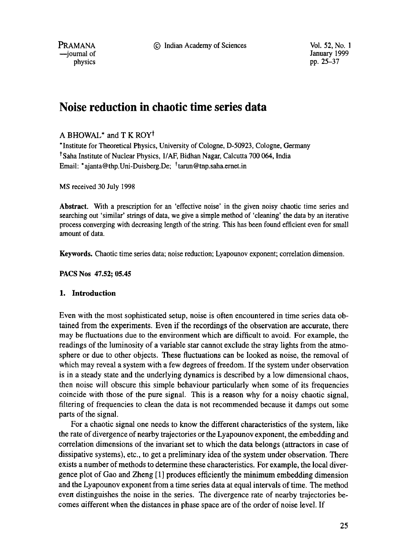9 Indian Academy of Sciences Vol. 52, No. 1

PRAMANA --journal of physics

January 1999 pp. 25-37

# **Noise reduction in chaotic time series data**

A BHOWAL<sup>\*</sup> and T K ROY<sup>†</sup>

\* Institute for Theoretical Physics, University of Cologne, D-50923, Cologne, Germany t Saha Institute of Nuclear Physics, 1/AF, Bidhan Nagar, Calcutta 700 064, India Email: \*ajanta@thp.Uni-Duisberg.De;  $\text{tan}$   $\theta$ tnp.saha.ernet.in

MS received 30 July 1998

Abstract. With a prescription for an 'effective noise' in the given noisy chaotic time series and searching out 'similar' strings of data, we give a simple method of 'cleaning' the data by an iterative process converging with decreasing length of the string. This has been found efficient even for small amount of data.

Keywords. Chaotic time series data; noise reduction; Lyapounov exponent; correlation dimension.

**PACS Nos 47.52; 05.45** 

# 1. **Introduction**

Even with the most sophisticated setup, noise is often encountered in time series data obtained from the experiments. Even if the recordings of the observation are accurate, there may be fluctuations due to the environment which are difficult to avoid. For example, the readings of the luminosity of a variable star cannot exclude the stray lights from the atmosphere or due to other objects. These fluctuations can be looked as noise, the removal of which may reveal a system with a few degrees of freedom. If the system under observation is in a steady state and the underlying dynamics is described by a low dimensional chaos, then noise will obscure this simple behaviour particularly when some of its frequencies coincide with those of the pure signal. This is a reason why for a noisy chaotic signal, filtering of frequencies to clean the data is not recommended because it damps out some parts of the signal.

For a chaotic signal one needs to know the different characteristics of the system, like the rate of divergence of nearby trajectories or the Lyapounov exponent, the embedding and correlation dimensions of the invariant set to which the data belongs (attractors in case of dissipative systems), etc., to get a preliminary idea of the system under observation. There exists a number of methods to determine these characteristics. For example, the local divergence plot of Gao and Zheng [ 1] produces efficiently the minimum embedding dimension and the Lyapounov exponent from a time series data at equal intervals of time. The method even distinguishes the noise in the series. The divergence rate of nearby trajectories becomes aifferent when the distances in phase space are of the order of noise level. If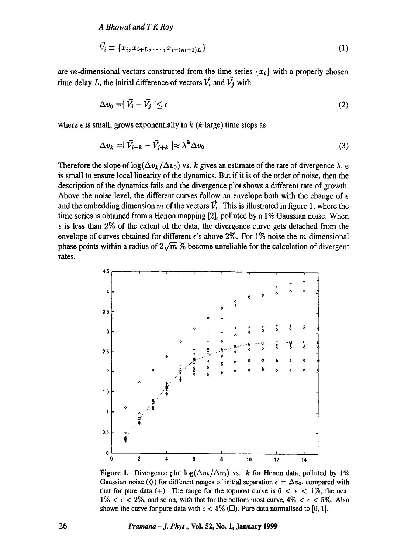*A Bhowal and T K Roy* 

$$
\vec{V}_i \equiv \{x_i, x_{i+L}, \dots, x_{i+(m-1)L}\}\tag{1}
$$

are *m*-dimensional vectors constructed from the time series  $\{x_i\}$  with a properly chosen time delay L, the initial difference of vectors  $\vec{V}_i$  and  $\vec{V}_j$  with

$$
\Delta v_0 = |\vec{V}_i - \vec{V}_j| \le \epsilon \tag{2}
$$

where  $\epsilon$  is small, grows exponentially in  $k$  ( $k$  large) time steps as

$$
\Delta v_k = | \vec{V}_{i+k} - \vec{V}_{j+k} | \approx \lambda^k \Delta v_0
$$
\n(3)

Therefore the slope of  $\log(\Delta v_k/\Delta v_0)$  vs. k gives an estimate of the rate of divergence  $\lambda$ . e **is small to ensure local linearity of the dynamics. But if it is of the order of noise, then the description of the dynamics fails and the divergence plot shows a different rate of growth.**  Above the noise level, the different curves follow an envelope both with the change of  $\epsilon$ and the embedding dimension m of the vectors  $\vec{V}_i$ . This is illustrated in figure 1, where the **time series is obtained from a Henon mapping [2], polluted by a 1% Gaussian noise. When**   $\epsilon$  is less than 2% of the extent of the data, the divergence curve gets detached from the envelope of curves obtained for different  $\epsilon$ 's above 2%. For 1% noise the *m*-dimensional phase points within a radius of  $2\sqrt{m}$  % become unreliable for the calculation of divergent **rates.** 



**Figure 1.** Divergence plot  $\log(\Delta v_k/\Delta v_0)$  vs. k for Henon data, polluted by 1% Gaussian noise ( $\diamondsuit$ ) for different ranges of initial separation  $\epsilon = \Delta v_0$ , compared with that for pure data (+). The range for the topmost curve is  $0 < \epsilon < 1\%$ , the next  $1\% < \epsilon < 2\%$ , and so on, with that for the bottom most curve,  $4\% < \epsilon < 5\%$ . Also shown the curve for pure data with  $\epsilon < 5\%$  ( $\square$ ). Pure data normalised to [0, 1].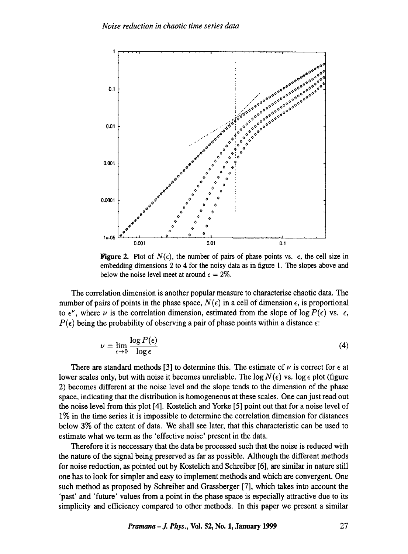

**Figure 2.** Plot of  $N(\epsilon)$ , the number of pairs of phase points vs.  $\epsilon$ , the cell size in **embedding dimensions 2 to 4 for the noisy data as in figure 1. The slopes above and**  below the noise level meet at around  $\epsilon = 2\%$ .

**The correlation dimension is another popular measure to characterise chaotic data. The number of pairs of points in the phase space,**  $N(\epsilon)$  **in a cell of dimension**  $\epsilon$ **, is proportional** to  $\epsilon^{\nu}$ , where  $\nu$  is the correlation dimension, estimated from the slope of log  $P(\epsilon)$  vs.  $\epsilon$ ,  $P(\epsilon)$  being the probability of observing a pair of phase points within a distance  $\epsilon$ :

$$
\nu = \lim_{\epsilon \to 0} \frac{\log P(\epsilon)}{\log \epsilon} \tag{4}
$$

There are standard methods [3] to determine this. The estimate of  $\nu$  is correct for  $\epsilon$  at lower scales only, but with noise it becomes unreliable. The  $\log N(\epsilon)$  vs.  $\log \epsilon$  plot (figure **2) becomes different at the noise level and the slope tends to the dimension of the phase space, indicating that the distribution is homogeneous at these scales. One can just read out the noise level from this plot [4]. Kostelich and Yorke [5] point out that for a noise level of 1% in the time series it is impossible to determine the correlation dimension for distances below 3% of the extent of data. We shall see later, that this characteristic can be used to estimate what we term as the 'effective noise' present in the data.** 

**Therefore it is neccessary that the data be processed such that the noise is reduced with the nature of the signal being preserved as far as possible. Although the different methods for noise reduction, as pointed out by Kostelich and Schreiber [6], are similar in nature still one has to look for simpler and easy to implement methods and which are convergent. One such method as proposed by Schreiber and Grassberger [7], which takes into account the 'past' and 'future' values from a point in the phase space is especially attractive due to its simplicity and efficiency compared to other methods. In this paper we present a similar**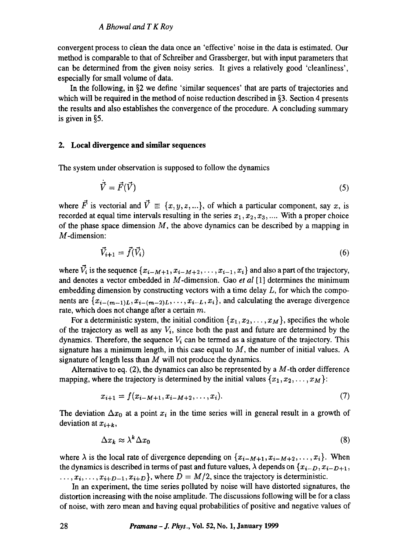convergent process to clean the data once an 'effective' noise in the data is estimated. Our method is comparable to that of Schreiber and Grassberger, but with input parameters that can be determined from the given noisy series. It gives a relatively good 'cleanliness', especially for small volume of data.

In the following, in  $\S2$  we define 'similar sequences' that are parts of trajectories and which will be required in the method of noise reduction described in  $\S$ 3. Section 4 presents the results and also establishes the convergence of the procedure. A concluding summary is given in  $§5$ .

# **2. Local divergence and similar sequences**

The system under observation is supposed to follow the dynamics

$$
\dot{\vec{V}} = \vec{F}(\vec{V}) \tag{5}
$$

where  $\vec{F}$  is vectorial and  $\vec{V} \equiv \{x, y, z, ...\}$ , of which a particular component, say x, is recorded at equal time intervals resulting in the series  $x_1, x_2, x_3, \dots$ . With a proper choice of the phase space dimension  $M$ , the above dynamics can be described by a mapping in M-dimension:

$$
\vec{V}_{i+1} = \vec{f}(\vec{V}_i) \tag{6}
$$

where  $\vec{V}_i$  is the sequence  $\{x_{i-M+1}, x_{i-M+2}, \ldots, x_{i-1}, x_i\}$  and also a part of the trajectory, and denotes a vector embedded in M-dimension. Gao *et al* [1] determines the minimum embedding dimension by constructing vectors with a time delay  $L$ , for which the components are  $\{x_{i-(m-1)L}, x_{i-(m-2)L},\ldots, x_{i-L}, x_i\}$ , and calculating the average divergence rate, which does not change after a certain m.

For a deterministic system, the initial condition  $\{x_1, x_2, \ldots, x_M\}$ , specifies the whole of the trajectory as well as any  $V_i$ , since both the past and future are determined by the dynamics. Therefore, the sequence  $V_i$  can be termed as a signature of the trajectory. This signature has a minimum length, in this case equal to  $M$ , the number of initial values. A signature of length less than  $M$  will not produce the dynamics.

Alternative to eq. (2), the dynamics can also be represented by a  $M$ -th order difference mapping, where the trajectory is determined by the initial values  $\{x_1, x_2, \ldots, x_M\}$ :

$$
x_{i+1} = f(x_{i-M+1}, x_{i-M+2}, \dots, x_i). \tag{7}
$$

The deviation  $\Delta x_0$  at a point  $x_i$  in the time series will in general result in a growth of deviation at  $x_{i+k}$ ,

$$
\Delta x_k \approx \lambda^k \Delta x_0 \tag{8}
$$

where  $\lambda$  is the local rate of divergence depending on  $\{x_{i-M+1}, x_{i-M+2}, \ldots, x_i\}$ . When the dynamics is described in terms of past and future values,  $\lambda$  depends on  $\{x_{i-D}, x_{i-D+1},$  $\dots, x_i, \dots, x_{i+D-1}, x_{i+D}$ , where  $D = M/2$ , since the trajectory is deterministic.

In an experiment, the time series polluted by noise will have distorted signatures, the distortion increasing with the noise amplitude. The discussions following will be for a class of noise, with zero mean and having equal probabilities of positive and negative values of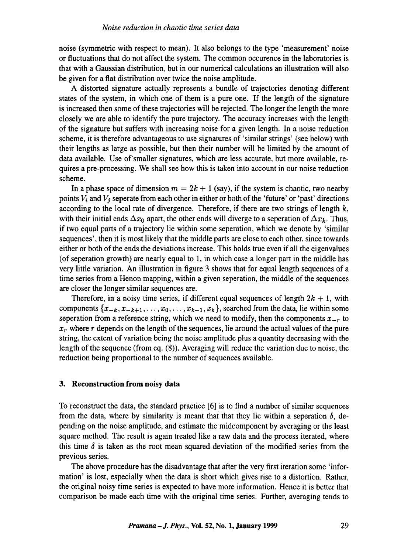noise (symmetric with respect to mean). It also belongs to the type 'measurement' noise or fluctuations that do not affect the system. The common occurence in the laboratories is that with a Gaussian distribution, but in our numerical calculations an illustration will also be given for a flat distribution over twice the noise amplitude.

A distorted signature actually represents a bundle of trajectories denoting different states of the system, in which one of them is a pure one. If the length of the signature is increased then some of these trajectories will be rejected. The longer the length the more closely we are able to identify the pure trajectory. The accuracy increases with the length of the signature but suffers with increasing noise for a given length. In a noise reduction scheme, it is therefore advantageous to use signatures of 'similar strings' (see below) with their lengths as large as possible, but then their number will be limited by the amount of **data** available. Use of'smaller signatures, which are less accurate, but more available, requires a pre-processing. We shall see how this is taken into account in our noise reduction scheme.

In a phase space of dimension  $m = 2k + 1$  (say), if the system is chaotic, two nearby points  $V_i$  and  $V_j$  seperate from each other in either or both of the 'future' or 'past' directions according to the local rate of divergence. Therefore, if there are two strings of length  $k$ , with their initial ends  $\Delta x_0$  apart, the other ends will diverge to a seperation of  $\Delta x_k$ . Thus, if two equal parts of a trajectory lie within some seperation, which we denote by 'similar sequences', then it is most likely that the middle parts are close to each other, since towards either or both of the ends the deviations increase. This holds true even if all the eigenvalues (of seperation growth) are nearly equal to 1, in which case a longer part in the middle has very little variation. An illustration in figure 3 shows that for equal length sequences of a time series from a Henon mapping, within a given seperation, the middle of the sequences are closer the longer similar sequences are.

Therefore, in a noisy time series, if different equal sequences of length  $2k + 1$ , with components  $\{x_{-k}, x_{-k+1}, \ldots, x_0, \ldots, x_{k-1}, x_k\}$ , searched from the data, lie within some seperation from a reference string, which we need to modify, then the components  $x_{-r}$  to  $x_r$  where r depends on the length of the sequences, lie around the actual values of the pure string, the extent of variation being the noise amplitude plus a quantity decreasing with the length of the sequence (from eq. (8)). Averaging will reduce the variation due to noise, the reduction being proportional to the number of sequences available.

### **3. Reconstruction from noisy data**

To reconstruct the data, the standard practice [6] is to find a number of similar sequences from the data, where by similarity is meant that that they lie within a seperation  $\delta$ , depending on the noise amplitude, and estimate the midcomponent by averaging or the least square method. The result is again treated like a raw data and the process iterated, where this time  $\delta$  is taken as the root mean squared deviation of the modified series from the previous series.

The above procedure has the disadvantage that after the very first iteration some 'information' is lost, especially when the data is short which gives rise to a distortion. Rather, the original noisy time series is expected to have more information. Hence it is better that comparison be made each time with the original time series. Further, averaging tends to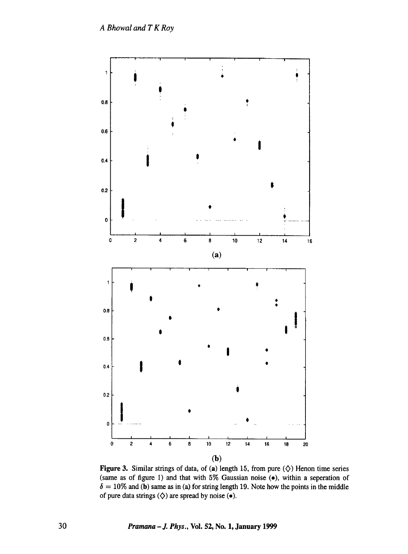

Figure 3. Similar strings of data, of (a) length 15, from pure  $(\diamondsuit)$  Henon time series (same as of figure 1) and that with  $5\%$  Gaussian noise ( $\bullet$ ), within a seperation of  $\delta = 10\%$  and (b) same as in (a) for string length 19. Note how the points in the middle of pure data strings  $(\diamond)$  are spread by noise  $(\bullet)$ .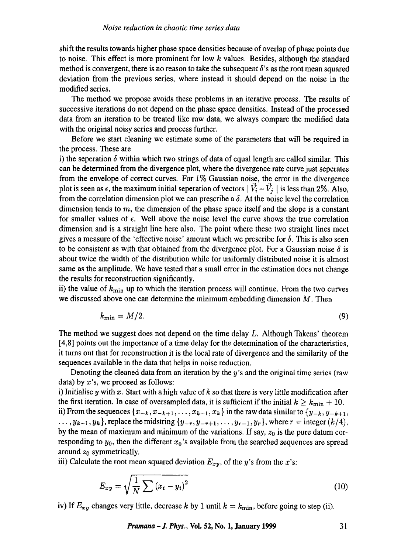shift the results towards higher phase space densities because of overlap of phase points due to noise. This effect is more prominent for low  $k$  values. Besides, although the standard method is convergent, there is no reason to take the subsequent  $\delta$ 's as the root mean squared deviation from the previous series, where instead it should depend on the noise in the modified series.

The method we propose avoids these problems in an iterative process. The results of successive iterations do not depend on the phase space densities. Instead of the processed data from an iteration to be treated like raw data, we always compare the modified data with the original noisy series and process further.

Before we start cleaning we estimate some of the parameters that will be required in the process. These are

i) the seperation  $\delta$  within which two strings of data of equal length are called similar. This can be determined from the divergence plot, where the divergence rate curve just seperates from the envelope of correct curves. For 1% Gaussian noise, the error in the divergence plot is seen as  $\epsilon$ , the maximum initial seperation of vectors  $|\vec{V}_i - \vec{V}_j|$  is less than 2%. Also, from the correlation dimension plot we can prescribe a  $\delta$ . At the noise level the correlation dimension tends to  $m$ , the dimension of the phase space itself and the slope is a constant for smaller values of  $\epsilon$ . Well above the noise level the curve shows the true correlation dimension and is a straight line here also. The point where these two straight lines meet gives a measure of the 'effective noise' amount which we prescribe for  $\delta$ . This is also seen to be consistent as with that obtained from the divergence plot. For a Gaussian noise  $\delta$  is about twice the width of the distribution while for uniformly distributed noise it is almost same as the amplitude. We have tested that a small error in the estimation does not change the results for reconstruction significantly.

ii) the value of  $k_{\text{min}}$  up to which the iteration process will continue. From the two curves we discussed above one can determine the minimum embedding dimension  $M$ . Then

$$
k_{\min} = M/2. \tag{9}
$$

The method we suggest does not depend on the time delay  $L$ . Although Takens' theorem [4,8] points out the importance of a time delay for the determination of the characteristics, it turns out that for reconstruction it is the local rate of divergence and the similarity of the sequences available in the data that helps in noise reduction.

Denoting the cleaned data from an iteration by the  $y$ 's and the original time series (raw data) by  $x$ 's, we proceed as follows:

i) Initialise y with x. Start with a high value of  $k$  so that there is very little modification after the first iteration. In case of oversampled data, it is sufficient if the initial  $k \geq k_{\text{min}} + 10$ . ii) From the sequences  $\{x_{-k}, x_{-k+1}, \ldots, x_{k-1}, x_k\}$  in the raw data similar to  $\{y_{-k}, y_{-k+1}, \ldots, y_{k-1}, x_k\}$  $\dots$ ,  $y_{k-1}, y_k$ , replace the midstring  $\{y_{-r}, y_{-r+1}, \dots, y_{r-1}, y_r\}$ , where  $r =$  integer  $(k/4)$ , by the mean of maximum and minimum of the variations. If say,  $z_0$  is the pure datum corresponding to  $y_0$ , then the different  $x_0$ 's available from the searched sequences are spread around  $z_0$  symmetrically.

iii) Calculate the root mean squared deviation  $E_{xy}$ , of the y's from the x's:

$$
E_{xy} = \sqrt{\frac{1}{N} \sum (x_i - y_i)^2}
$$
 (10)

iv) If  $E_{xy}$  changes very little, decrease k by 1 until  $k = k_{\text{min}}$ , before going to step (ii).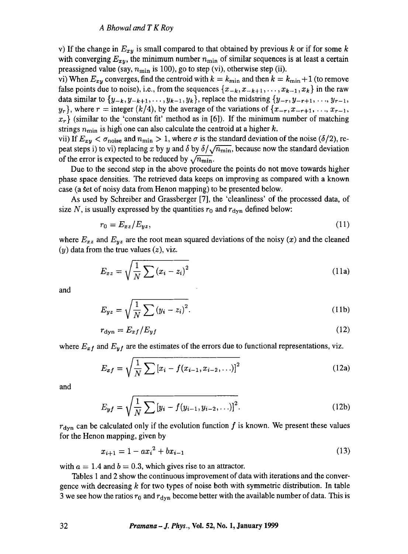#### *A Bhowal and T K Roy*

v) If the change in  $E_{xy}$  is small compared to that obtained by previous k or if for some k with converging  $E_{xy}$ , the minimum number  $n_{\min}$  of similar sequences is at least a certain preassigned value (say,  $n_{\min}$  is 100), go to step (vi), otherwise step (ii).

vi) When  $E_{xy}$  converges, find the centroid with  $k = k_{min}$  and then  $k = k_{min} + 1$  (to remove false points due to noise), i.e., from the sequences  $\{x_{-k}, x_{-k+1}, \ldots, x_{k-1}, x_k\}$  in the raw data similar to  $\{y_{-k}, y_{-k+1}, \ldots, y_{k-1}, y_k\}$ , replace the midstring  $\{y_{-r}, y_{-r+1}, \ldots, y_{r-1},$  $y_r$ , where  $r =$  integer  $(k/4)$ , by the average of the variations of  $\{x_{-r}, x_{-r+1}, \ldots, x_{r-1},$  $x_r$  (similar to the 'constant fit' method as in [6]). If the minimum number of matching strings  $n_{\min}$  is high one can also calculate the centroid at a higher k. vii) If  $E_{xy} < \sigma_{\text{noise}}$  and  $n_{\text{min}} > 1$ , where  $\sigma$  is the standard deviation of the noise ( $\delta/2$ ), re-

peat steps i) to vi) replacing x by y and  $\delta$  by  $\delta/\sqrt{n_{\text{min}}}$ , because now the standard deviation of the error is expected to be reduced by  $\sqrt{n_{\text{min}}}$ .

Due to the second step in the above procedure the points do not move towards higher phase space densities. The retrieved data keeps on improving as compared with a known case (a get of noisy data from Henon mapping) to be presented below.

As used by Schreiber and Grassberger [7], the 'cleanliness' of the processed data, of size N, is usually expressed by the quantities  $r_0$  and  $r_{dyn}$  defined below:

$$
r_0 = E_{xz}/E_{yz},\tag{11}
$$

where  $E_{xz}$  and  $E_{yz}$  are the root mean squared deviations of the noisy  $(x)$  and the cleaned  $(y)$  data from the true values  $(z)$ , viz.

$$
E_{xz} = \sqrt{\frac{1}{N} \sum (x_i - z_i)^2}
$$
 (11a)

and

$$
E_{yz} = \sqrt{\frac{1}{N} \sum (y_i - z_i)^2}.
$$
 (11b)

$$
r_{\rm dyn} = E_{xf}/E_{yf} \tag{12}
$$

where  $E_{xf}$  and  $E_{yf}$  are the estimates of the errors due to functional representations, viz.

$$
E_{xf} = \sqrt{\frac{1}{N} \sum [x_i - f(x_{i-1}, x_{i-2}, \ldots)]^2}
$$
 (12a)

and

$$
E_{yf} = \sqrt{\frac{1}{N} \sum [y_i - f(y_{i-1}, y_{i-2}, \ldots)]^2}.
$$
 (12b)

 $r_{dyn}$  can be calculated only if the evolution function f is known. We present these values for the Henon mapping, given by

$$
x_{i+1} = 1 - a x_i^2 + b x_{i-1} \tag{13}
$$

with  $a = 1.4$  and  $b = 0.3$ , which gives rise to an attractor.

Tables 1 and 2 show the continuous improvement of data with iterations and the convergence with decreasing  $k$  for two types of noise both with symmetric distribution. In table 3 we see how the ratios  $r_0$  and  $r_{dyn}$  become better with the available number of data. This is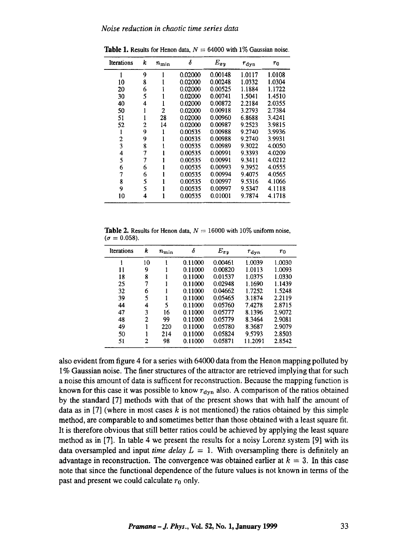| Iterations | k | $n_{\min}$ | δ       | $\mathcal{E}_{xy}$ | $r_{dyn}$ | $r_0$  |
|------------|---|------------|---------|--------------------|-----------|--------|
|            | 9 |            | 0.02000 | 0.00148            | 1.0117    | 1.0108 |
| 10         | 8 |            | 0.02000 | 0.00248            | 1.0332    | 1.0304 |
| 20         | 6 |            | 0.02000 | 0.00525            | 1.1884    | 1.1722 |
| 30         | 5 |            | 0.02000 | 0.00741            | 1.5041    | 1.4510 |
| 40         | 4 |            | 0.02000 | 0.00872            | 2.2184    | 2.0355 |
| 50         |   | 2          | 0.02000 | 0.00918            | 3.2793    | 2.7384 |
| 51         |   | 28         | 0.02000 | 0.00960            | 6.8688    | 3.4241 |
| 52         | 2 | 14         | 0.02000 | 0.00987            | 9.2523    | 3.9815 |
|            | 9 |            | 0.00535 | 0.00988            | 9.2740    | 3.9936 |
| 2          | 9 |            | 0.00535 | 0.00988            | 9.2740    | 3.9931 |
| 3          | 8 |            | 0.00535 | 0.00989            | 9.3022    | 4.0050 |
| 4          | 7 |            | 0.00535 | 0.00991            | 9.3393    | 4.0209 |
| 5          | 7 |            | 0.00535 | 0.00991            | 9.3411    | 4.0212 |
| 6          | 6 |            | 0.00535 | 0.00993            | 9.3952    | 4.0555 |
| 7          | 6 |            | 0.00535 | 0.00994            | 9.4075    | 4.0565 |
| 8          | 5 |            | 0.00535 | 0.00997            | 9.5316    | 4.1066 |
| 9          | 5 |            | 0.00535 | 0.00997            | 9.5347    | 4.1118 |
| 10         | 4 |            | 0.00535 | 0.01001            | 9.7874    | 4.1718 |

**Table 1.** Results for Henon data,  $N = 64000$  with 1% Gaussian noise.

**Table 2.** Results for Henon data,  $N = 16000$  with 10% uniform noise,  $(\sigma = 0.058)$ .

| Iterations | k            | $n_{\rm min}$ | δ       | $E_{xy}$ | $r_{\rm dyn}$ | $r_0$  |
|------------|--------------|---------------|---------|----------|---------------|--------|
|            | 10           |               | 0.11000 | 0.00461  | 1.0039        | 1.0030 |
| 11         | 9            |               | 0.11000 | 0.00820  | 1.0113        | 1.0093 |
| 18         | 8            |               | 0.11000 | 0.01537  | 1.0375        | 1.0330 |
| 25         | 7            |               | 0.11000 | 0.02948  | 1.1690        | 1.1439 |
| 32         | 6            |               | 0.11000 | 0.04662  | 1.7252        | 1.5248 |
| 39         | 5            |               | 0.11000 | 0.05465  | 3.1874        | 2.2119 |
| 44         | 4            | 5             | 0.11000 | 0.05760  | 7.4278        | 2.8715 |
| 47         | 3            | 16            | 0.11000 | 0.05777  | 8.1396        | 2.9072 |
| 48         | $\mathbf{2}$ | 99            | 0.11000 | 0.05779  | 8.3464        | 2.9081 |
| 49         | 1            | 220           | 0.11000 | 0.05780  | 8.3687        | 2.9079 |
| 50         | 1            | 214           | 0.11000 | 0.05824  | 9.5793        | 2.8503 |
| 51         | 2            | 98            | 0.11000 | 0.05871  | 11.2091       | 2.8542 |

also evident from figure 4 for a series with 64000 data from the Henon mapping polluted by 1% Gaussian noise. The finer structures of the attractor are retrieved implying that for such a noise this amount of data is sufficent for reconstruction. Because the mapping function is known for this case it was possible to know  $r_{dyn}$  also. A comparison of the ratios obtained by the standard [7] methods with that of the present shows that with half the amount of data as in [7] (where in most cases k is not mentioned) the ratios obtained by this simple method, are comparable to and sometimes better than those obtained with a least square fit. It is therefore obvious that still better ratios could be achieved by applying the least square method as in [7]. In table 4 we present the results for a noisy Lorenz system [9] with its data oversampled and input *time delay*  $L = 1$ . With oversampling there is definitely an advantage in reconstruction. The convergence was obtained earlier at  $k = 3$ . In this case note that since the functional dependence of the future values is not known in terms of the past and present we could calculate  $r_0$  only.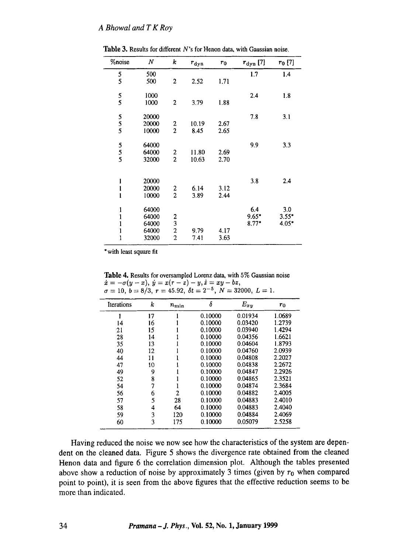J.

| %noise                                     | Ν     | k                              | $r_{dyn}$ | $r_0$ | $r_{\rm dyn}$ [7] | r <sub>0</sub> [7] |
|--------------------------------------------|-------|--------------------------------|-----------|-------|-------------------|--------------------|
| $\frac{5}{5}$                              | 500   |                                |           |       | 1.7               | 1.4                |
|                                            | 500   | $\boldsymbol{2}$               | 2.52      | 1.71  |                   |                    |
| $\frac{5}{5}$                              | 1000  |                                |           |       | 2.4               | 1.8                |
|                                            | 1000  | $\overline{2}$                 | 3.79      | 1.88  |                   |                    |
|                                            | 20000 |                                |           |       | 7.8               | 3.1                |
| $\frac{5}{5}$                              | 20000 | 2                              | 10.19     | 2.67  |                   |                    |
|                                            | 10000 | $\overline{c}$                 | 8.45      | 2.65  |                   |                    |
| $\begin{array}{c} 5 \\ 5 \\ 5 \end{array}$ | 64000 |                                |           |       | 9.9               | 3.3                |
|                                            | 64000 | $\frac{2}{2}$                  | 11.80     | 2.69  |                   |                    |
|                                            | 32000 |                                | 10.63     | 2.70  |                   |                    |
| l                                          | 20000 |                                |           |       | 3.8               | 2.4                |
| 1                                          | 20000 |                                | 6.14      | 3.12  |                   |                    |
| 1                                          | 10000 | $\frac{2}{2}$                  | 3.89      | 2.44  |                   |                    |
|                                            |       |                                |           |       |                   |                    |
| ı                                          | 64000 |                                |           |       | 6.4               | 3.0                |
| 1                                          | 64000 |                                |           |       | $9.65*$           | $3.55*$            |
| 1                                          | 64000 | $\frac{2}{3}$<br>$\frac{2}{2}$ |           |       | $8.77*$           | $4.05*$            |
| 1                                          | 64000 |                                | 9.79      | 4.17  |                   |                    |
|                                            | 32000 |                                | 7.41      | 3.63  |                   |                    |
|                                            |       |                                |           |       |                   |                    |

**Table** 3. Results for different N's for Henon data, with Gaussian noise.

\* with least square fit

Table 4. Results for oversampled Lorenz data, with 5% Gaussian noise  $=-\sigma(y-x),~\dot{y}=x(r-z) -y, \dot{z}=xy-bz,$  $\sigma = 10, b = 8/3, r = 45.92, \delta t = 2^{-5}, N = 32000, L = 1.$ 

| <b>Iterations</b> | k  | $n_{\min}$ | δ       | $E_{xy}$ | $r_0$  |
|-------------------|----|------------|---------|----------|--------|
|                   | 17 |            | 0.10000 | 0.01934  | 1.0689 |
| 14                | 16 |            | 0.10000 | 0.03420  | 1.2739 |
| 21                | 15 |            | 0.10000 | 0.03940  | 1.4294 |
| 28                | 14 |            | 0.10000 | 0.04356  | 1.6621 |
| 35                | 13 |            | 0.10000 | 0.04604  | 1.8793 |
| 40                | 12 |            | 0.10000 | 0.04760  | 2.0939 |
| 44                | 11 |            | 0.10000 | 0.04808  | 2.2027 |
| 47                | 10 |            | 0.10000 | 0.04838  | 2.2672 |
| 49                | 9  |            | 0.10000 | 0.04847  | 2.2926 |
| 52                | 8  |            | 0.10000 | 0.04865  | 2.3521 |
| 54                |    |            | 0.10000 | 0.04874  | 2.3684 |
| 56                | 6  | 2          | 0.10000 | 0.04882  | 2.4005 |
| 57                | 5  | 28         | 0.10000 | 0.04883  | 2.4010 |
| 58                | 4  | 64         | 0.10000 | 0.04883  | 2.4040 |
| 59                | 3  | 120        | 0.10000 | 0.04884  | 2.4069 |
| 60                | 3  | 175        | 0.10000 | 0.05079  | 2.5258 |

Having reduced the noise we now see how the characteristics of the system are dependent on the cleaned data. Figure 5 shows the divergence rate obtained from the cleaned Henon data and figure 6 the correlation dimension plot. Although the tables presented above show a reduction of noise by approximately 3 times (given by  $r_0$  when compared point to point), it is seen from the above figures that the effective reduction seems to be more than indicated.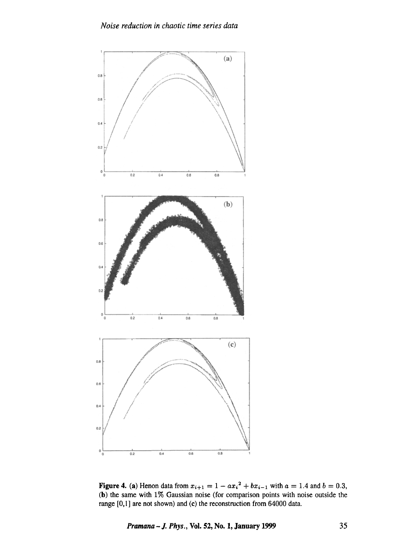

**Figure 4.** (a) Henon data from  $x_{i+1} = 1 - ax_i^2 + bx_{i-1}$  with  $a = 1.4$  and  $b = 0.3$ , (b) the same with 1% Gaussian noise (for comparison points with noise outside the range [0,1] are not shown) and (c) the reconstruction from 64000 data.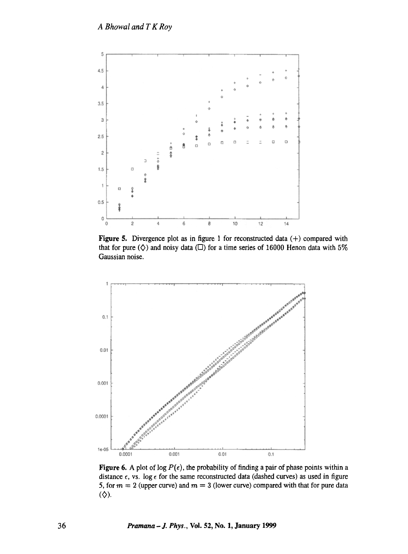

Figure 5. Divergence plot as in figure 1 for reconstructed data (+) compared with that for pure ( $\Diamond$ ) and noisy data ( $\Box$ ) for a time series of 16000 Henon data with 5% Gaussian noise,



Figure 6. A plot of log  $P(\epsilon)$ , the probability of finding a pair of phase points within a distance  $\epsilon$ , vs. log  $\epsilon$  for the same reconstructed data (dashed curves) as used in figure 5, for  $m = 2$  (upper curve) and  $m = 3$  (lower curve) compared with that for pure data  $(\diamondsuit)$ .